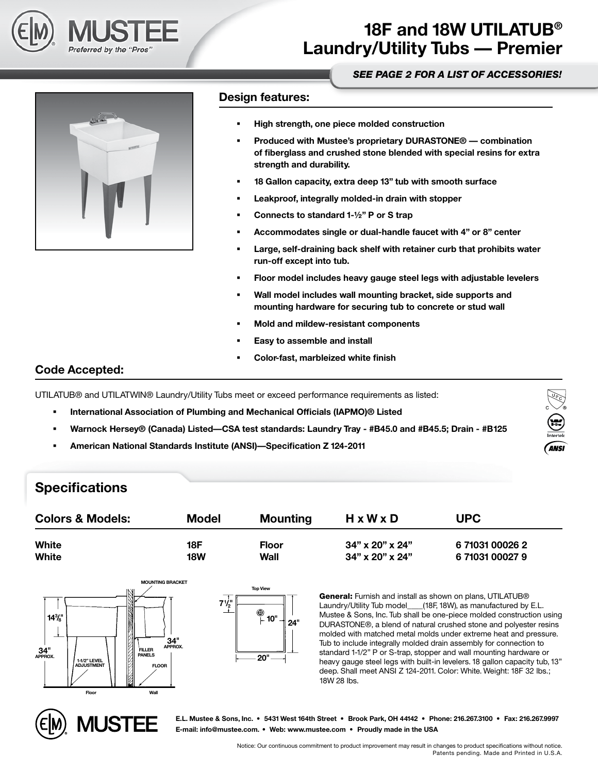

## **18F and 18W UTILATUB® Laundry/Utility Tubs — Premier**

#### *[SEE PAGE 2 FOR A LIST OF ACCESSORIES!](#page-1-0)*

**ANSI** 



#### **Design features:**

- **High strength, one piece molded construction**
- **Produced with Mustee's proprietary DURASTONE® combination of fiberglass and crushed stone blended with special resins for extra strength and durability.**
- **18 Gallon capacity, extra deep 13" tub with smooth surface**
- **Leakproof, integrally molded-in drain with stopper**
- **Connects to standard 1-½" P or S trap**
- **Accommodates single or dual-handle faucet with 4" or 8" center**
- **Large, self-draining back shelf with retainer curb that prohibits water run-off except into tub.**
- **Floor model includes heavy gauge steel legs with adjustable levelers**
- **Wall model includes wall mounting bracket, side supports and mounting hardware for securing tub to concrete or stud wall**
- **Mold and mildew-resistant components**
- **Easy to assemble and install**
- **Color-fast, marbleized white finish**

### **Code Accepted:**

UTILATUB® and UTILATWIN® Laundry/Utility Tubs meet or exceed performance requirements as listed:

- **International Association of Plumbing and Mechanical Officials (IAPMO)® Listed**
- **Warnock Hersey® (Canada) Listed—CSA test standards: Laundry Tray #B45.0 and #B45.5; Drain #B125**
- **American National Standards Institute (ANSI)—Specification Z 124-2011**

### **Specifications**





**E.L. Mustee & Sons, Inc. • 5431 West 164th Street • Brook Park, OH 44142 • Phone: 216.267.3100 • Fax: 216.267.9997 E-mail: info@mustee.com. • Web: www.mustee.com • Proudly made in the USA**